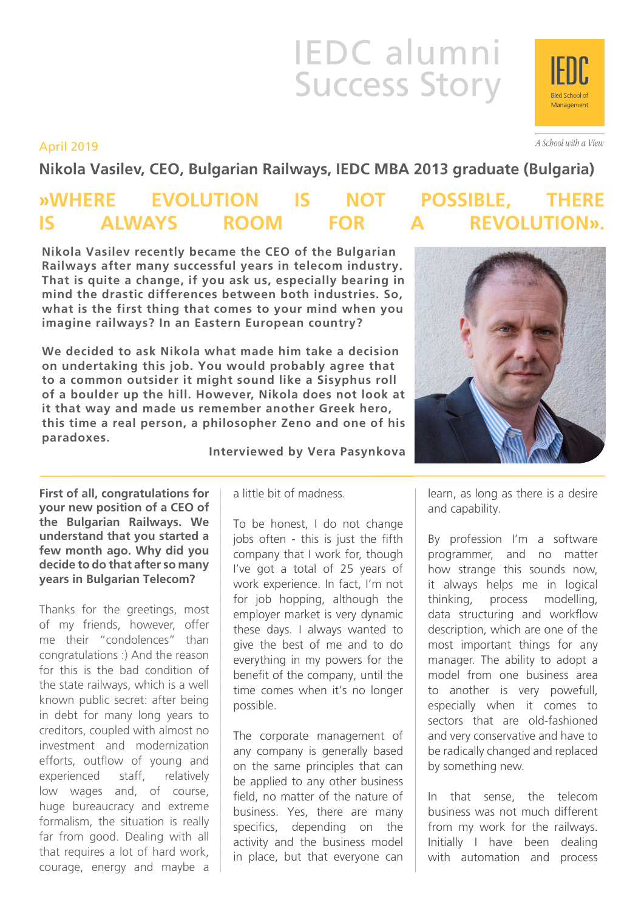# IEDC alumni Success Story

April 2019

**Nikola Vasilev, CEO, Bulgarian Railways, IEDC MBA 2013 graduate (Bulgaria)**

## **»WHERE EVOLUTION IS NOT POSSIBLE, THERE IS ALWAYS ROOM FOR A REVOLUTION».**

**Nikola Vasilev recently became the CEO of the Bulgarian Railways after many successful years in telecom industry. That is quite a change, if you ask us, especially bearing in mind the drastic differences between both industries. So, what is the first thing that comes to your mind when you imagine railways? In an Eastern European country?**

**We decided to ask Nikola what made him take a decision on undertaking this job. You would probably agree that to a common outsider it might sound like a Sisyphus roll of a boulder up the hill. However, Nikola does not look at it that way and made us remember another Greek hero, this time a real person, a philosopher Zeno and one of his paradoxes.**

**Interviewed by Vera Pasynkova**

**First of all, congratulations for your new position of a CEO of the Bulgarian Railways. We understand that you started a few month ago. Why did you decide to do that after so many years in Bulgarian Telecom?** 

Thanks for the greetings, most of my friends, however, offer me their "condolences" than congratulations :) And the reason for this is the bad condition of the state railways, which is a well known public secret: after being in debt for many long years to creditors, coupled with almost no investment and modernization efforts, outflow of young and experienced staff, relatively low wages and, of course, huge bureaucracy and extreme formalism, the situation is really far from good. Dealing with all that requires a lot of hard work, courage, energy and maybe a a little bit of madness.

To be honest, I do not change jobs often - this is just the fifth company that I work for, though I've got a total of 25 years of work experience. In fact, I'm not for job hopping, although the employer market is very dynamic these days. I always wanted to give the best of me and to do everything in my powers for the benefit of the company, until the time comes when it's no longer possible.

The corporate management of any company is generally based on the same principles that can be applied to any other business field, no matter of the nature of business. Yes, there are many specifics, depending on the activity and the business model in place, but that everyone can

learn, as long as there is a desire and capability.

By profession I'm a software programmer, and no matter how strange this sounds now, it always helps me in logical thinking, process modelling, data structuring and workflow description, which are one of the most important things for any manager. The ability to adopt a model from one business area to another is very powefull, especially when it comes to sectors that are old-fashioned and very conservative and have to be radically changed and replaced by something new.

In that sense, the telecom business was not much different from my work for the railways. Initially I have been dealing with automation and process





A School with a View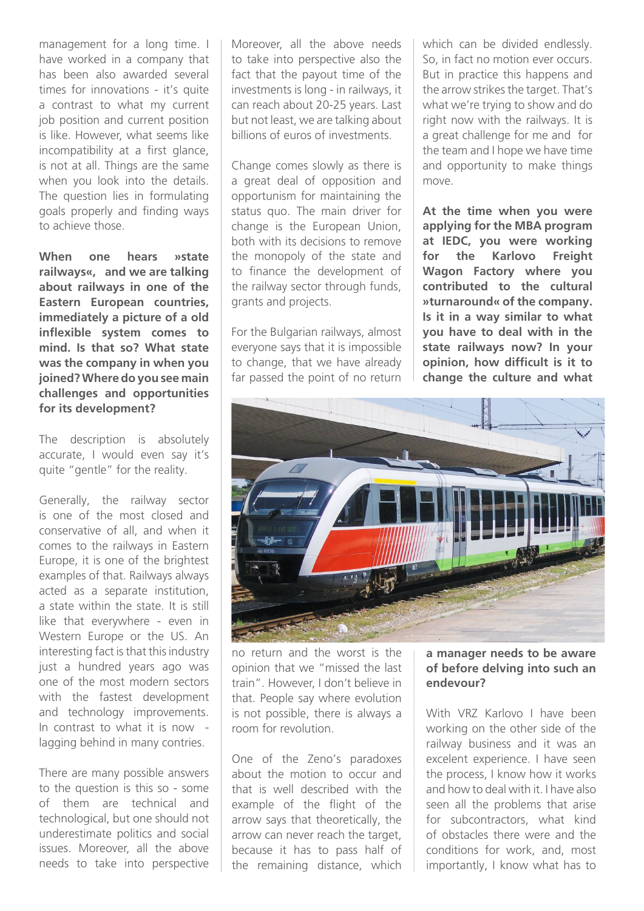management for a long time. I have worked in a company that has been also awarded several times for innovations - it's quite a contrast to what my current job position and current position is like. However, what seems like incompatibility at a first glance, is not at all. Things are the same when you look into the details. The question lies in formulating goals properly and finding ways to achieve those.

**When one hears »state railways«, and we are talking about railways in one of the Eastern European countries, immediately a picture of a old inflexible system comes to mind. Is that so? What state was the company in when you joined? Where do you see main challenges and opportunities for its development?**

The description is absolutely accurate, I would even say it's quite "gentle" for the reality.

Generally, the railway sector is one of the most closed and conservative of all, and when it comes to the railways in Eastern Europe, it is one of the brightest examples of that. Railways always acted as a separate institution, a state within the state. It is still like that everywhere - even in Western Europe or the US. An interesting fact is that this industry just a hundred years ago was one of the most modern sectors with the fastest development and technology improvements. In contrast to what it is now lagging behind in many contries.

There are many possible answers to the question is this so - some of them are technical and technological, but one should not underestimate politics and social issues. Moreover, all the above needs to take into perspective

Moreover, all the above needs to take into perspective also the fact that the payout time of the investments is long - in railways, it can reach about 20-25 years. Last but not least, we are talking about billions of euros of investments.

Change comes slowly as there is a great deal of opposition and opportunism for maintaining the status quo. The main driver for change is the European Union, both with its decisions to remove the monopoly of the state and to finance the development of the railway sector through funds, grants and projects.

For the Bulgarian railways, almost everyone says that it is impossible to change, that we have already far passed the point of no return which can be divided endlessly. So, in fact no motion ever occurs. But in practice this happens and the arrow strikes the target. That's what we're trying to show and do right now with the railways. It is a great challenge for me and for the team and I hope we have time and opportunity to make things move.

**At the time when you were applying for the MBA program at IEDC, you were working for the Karlovo Freight Wagon Factory where you contributed to the cultural »turnaround« of the company. Is it in a way similar to what you have to deal with in the state railways now? In your opinion, how difficult is it to change the culture and what** 



no return and the worst is the opinion that we "missed the last train". However, I don't believe in that. People say where evolution is not possible, there is always a room for revolution.

One of the Zeno's paradoxes about the motion to occur and that is well described with the example of the flight of the arrow says that theoretically, the arrow can never reach the target, because it has to pass half of the remaining distance, which

#### **a manager needs to be aware of before delving into such an endevour?**

With VRZ Karlovo I have been working on the other side of the railway business and it was an excelent experience. I have seen the process, I know how it works and how to deal with it. I have also seen all the problems that arise for subcontractors, what kind of obstacles there were and the conditions for work, and, most importantly, I know what has to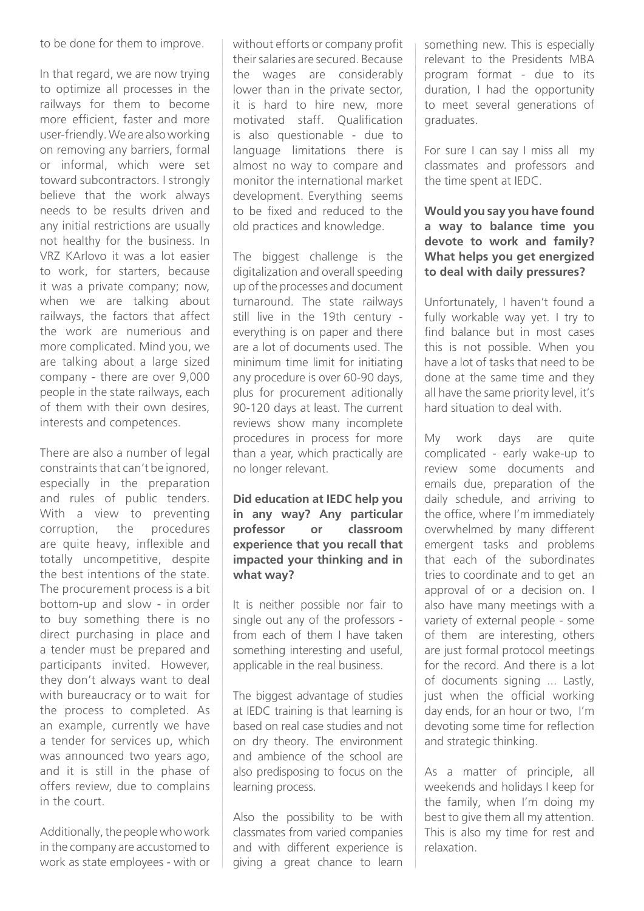to be done for them to improve.

In that regard, we are now trying to optimize all processes in the railways for them to become more efficient, faster and more user-friendly. We are also working on removing any barriers, formal or informal, which were set toward subcontractors. I strongly believe that the work always needs to be results driven and any initial restrictions are usually not healthy for the business. In VRZ KArlovo it was a lot easier to work, for starters, because it was a private company; now, when we are talking about railways, the factors that affect the work are numerious and more complicated. Mind you, we are talking about a large sized company - there are over 9,000 people in the state railways, each of them with their own desires, interests and competences.

There are also a number of legal constraints that can't be ignored, especially in the preparation and rules of public tenders. With a view to preventing corruption, the procedures are quite heavy, inflexible and totally uncompetitive, despite the best intentions of the state. The procurement process is a bit bottom-up and slow - in order to buy something there is no direct purchasing in place and a tender must be prepared and participants invited. However, they don't always want to deal with bureaucracy or to wait for the process to completed. As an example, currently we have a tender for services up, which was announced two years ago, and it is still in the phase of offers review, due to complains in the court.

Additionally, the people who work in the company are accustomed to work as state employees - with or without efforts or company profit their salaries are secured. Because the wages are considerably lower than in the private sector, it is hard to hire new, more motivated staff. Qualification is also questionable - due to language limitations there is almost no way to compare and monitor the international market development. Everything seems to be fixed and reduced to the old practices and knowledge.

The biggest challenge is the digitalization and overall speeding up of the processes and document turnaround. The state railways still live in the 19th century everything is on paper and there are a lot of documents used. The minimum time limit for initiating any procedure is over 60-90 days, plus for procurement aditionally 90-120 days at least. The current reviews show many incomplete procedures in process for more than a year, which practically are no longer relevant.

#### **Did education at IEDC help you in any way? Any particular professor or classroom experience that you recall that impacted your thinking and in what way?**

It is neither possible nor fair to single out any of the professors from each of them I have taken something interesting and useful, applicable in the real business.

The biggest advantage of studies at IEDC training is that learning is based on real case studies and not on dry theory. The environment and ambience of the school are also predisposing to focus on the learning process.

Also the possibility to be with classmates from varied companies and with different experience is giving a great chance to learn something new. This is especially relevant to the Presidents MBA program format - due to its duration, I had the opportunity to meet several generations of graduates.

For sure I can say I miss all my classmates and professors and the time spent at IEDC.

#### **Would you say you have found a way to balance time you devote to work and family? What helps you get energized to deal with daily pressures?**

Unfortunately, I haven't found a fully workable way yet. I try to find balance but in most cases this is not possible. When you have a lot of tasks that need to be done at the same time and they all have the same priority level, it's hard situation to deal with.

My work days are quite complicated - early wake-up to review some documents and emails due, preparation of the daily schedule, and arriving to the office, where I'm immediately overwhelmed by many different emergent tasks and problems that each of the subordinates tries to coordinate and to get an approval of or a decision on. I also have many meetings with a variety of external people - some of them are interesting, others are just formal protocol meetings for the record. And there is a lot of documents signing ... Lastly, just when the official working day ends, for an hour or two, I'm devoting some time for reflection and strategic thinking.

As a matter of principle, all weekends and holidays I keep for the family, when I'm doing my best to give them all my attention. This is also my time for rest and relaxation.